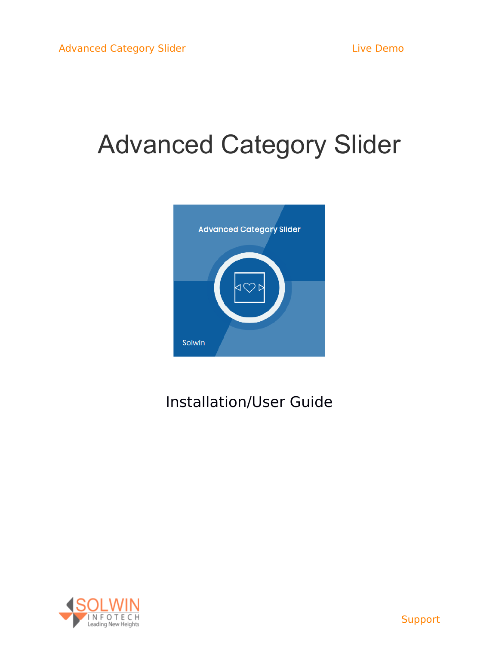# Advanced Category Slider



# Installation/User Guide

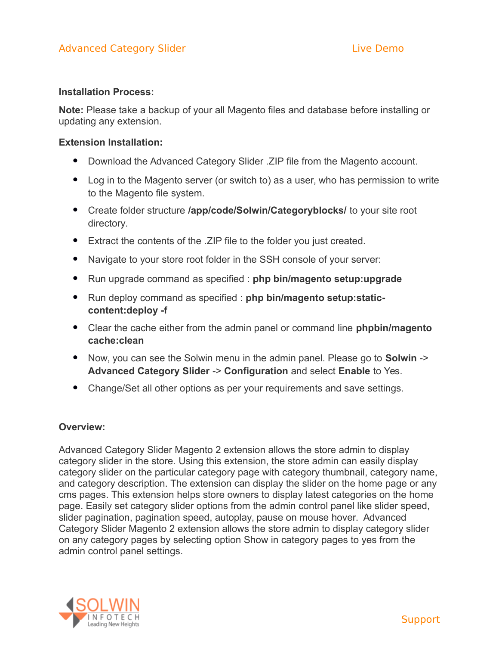### **Installation Process:**

**Note:** Please take a backup of your all Magento files and database before installing or updating any extension.

### **Extension Installation:**

- Download the Advanced Category Slider . ZIP file from the Magento account.
- Log in to the Magento server (or switch to) as a user, who has permission to write to the Magento file system.
- Create folder structure **/app/code/Solwin/Categoryblocks/** to your site root directory.
- Extract the contents of the .ZIP file to the folder you just created.
- Navigate to your store root folder in the SSH console of your server:
- Run upgrade command as specified : **php bin/magento setup:upgrade**
- Run deploy command as specified : **php bin/magento setup:staticcontent:deploy -f**
- Clear the cache either from the admin panel or command line **phpbin/magento cache:clean**
- Now, you can see the Solwin menu in the admin panel. Please go to **Solwin** -> **Advanced Category Slider** -> **Configuration** and select **Enable** to Yes.
- Change/Set all other options as per your requirements and save settings.

### **Overview:**

Advanced Category Slider Magento 2 extension allows the store admin to display category slider in the store. Using this extension, the store admin can easily display category slider on the particular category page with category thumbnail, category name, and category description. The extension can display the slider on the home page or any cms pages. This extension helps store owners to display latest categories on the home page. Easily set category slider options from the admin control panel like slider speed, slider pagination, pagination speed, autoplay, pause on mouse hover. Advanced Category Slider Magento 2 extension allows the store admin to display category slider on any category pages by selecting option Show in category pages to yes from the admin control panel settings.

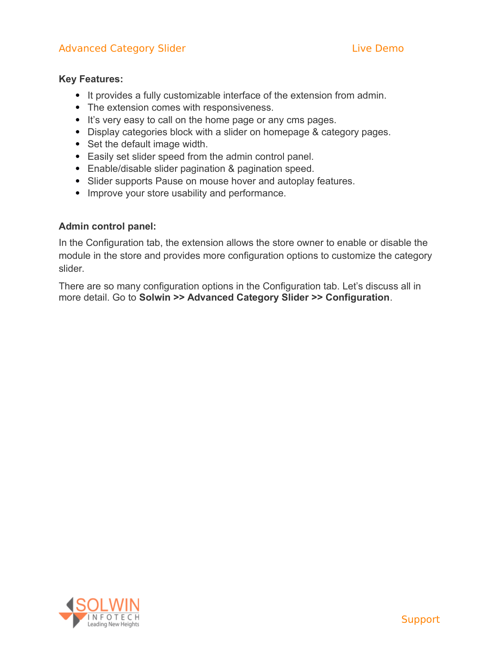# Advanced Category Slider [Live Demo](http://magedemo.solwininfotech.com/magento2/extension/marketing/sim2acs)nstructure Category Slider Live Demonstructure Demonstructure Demonstructure

### **Key Features:**

- It provides a fully customizable interface of the extension from admin.
- The extension comes with responsiveness.
- It's very easy to call on the home page or any cms pages.
- Display categories block with a slider on homepage & category pages.
- Set the default image width.
- Easily set slider speed from the admin control panel.
- Enable/disable slider pagination & pagination speed.
- Slider supports Pause on mouse hover and autoplay features.
- Improve your store usability and performance.

### **Admin control panel:**

In the Configuration tab, the extension allows the store owner to enable or disable the module in the store and provides more configuration options to customize the category slider.

There are so many configuration options in the Configuration tab. Let's discuss all in more detail. Go to **Solwin >> Advanced Category Slider >> Configuration**.

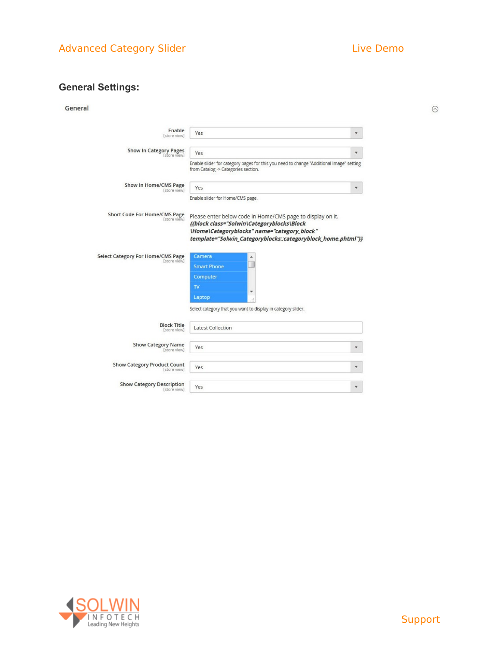$\odot$ 

# **General Settings:**

| ener |  |
|------|--|
|------|--|

| Enable<br>[store view]                             | Yes                                                                                                                                                                                                                     |  |
|----------------------------------------------------|-------------------------------------------------------------------------------------------------------------------------------------------------------------------------------------------------------------------------|--|
| Show In Category Pages<br>[store view]             | Yes                                                                                                                                                                                                                     |  |
|                                                    | Enable slider for category pages for this you need to change "Additional Image" setting<br>from Catalog -> Categories section.                                                                                          |  |
| Show In Home/CMS Page<br>[store view]              | Yes                                                                                                                                                                                                                     |  |
|                                                    | Enable slider for Home/CMS page.                                                                                                                                                                                        |  |
| Short Code For Home/CMS Page<br>[store view]       | Please enter below code in Home/CMS page to display on it.<br>{{block class="Solwin\Categoryblocks\Block<br>\Home\Categoryblocks" name="category_block"<br>template="Solwin_Categoryblocks::categoryblock_home.phtml"}} |  |
| <b>Select Category For Home/CMS Page</b>           | Camera                                                                                                                                                                                                                  |  |
| [store view]                                       | <b>Smart Phone</b><br>Computer<br>TV<br>۳                                                                                                                                                                               |  |
|                                                    | Laptop<br>混<br>Select category that you want to display in category slider.                                                                                                                                             |  |
| <b>Block Title</b><br>[store view]                 | <b>Latest Collection</b>                                                                                                                                                                                                |  |
| <b>Show Category Name</b><br>[store view]          | Yes                                                                                                                                                                                                                     |  |
| <b>Show Category Product Count</b><br>[store view] | Yes                                                                                                                                                                                                                     |  |

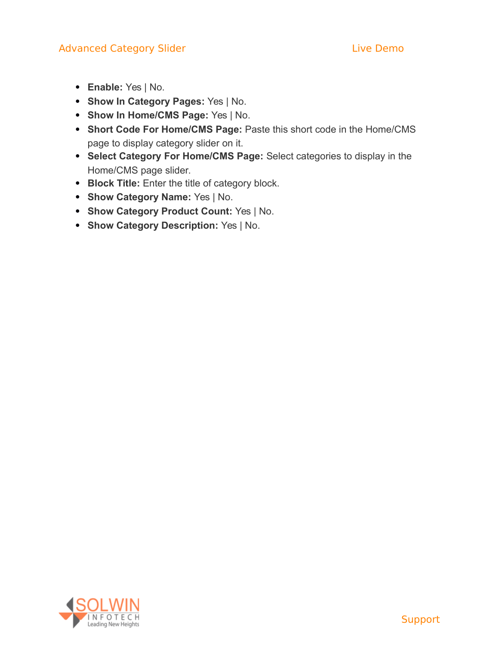- **Enable:** Yes | No.
- **Show In Category Pages:** Yes | No.
- **Show In Home/CMS Page:** Yes | No.
- **Short Code For Home/CMS Page:** Paste this short code in the Home/CMS page to display category slider on it.
- **Select Category For Home/CMS Page:** Select categories to display in the Home/CMS page slider.
- **Block Title:** Enter the title of category block.
- **Show Category Name:** Yes | No.
- **Show Category Product Count:** Yes | No.
- **Show Category Description:** Yes | No.

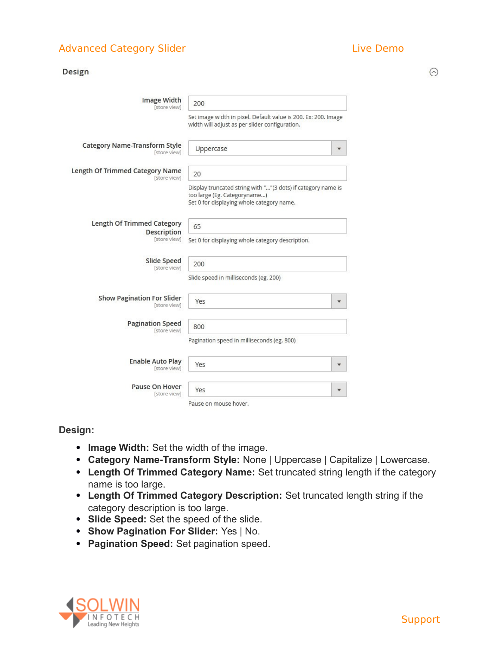$\odot$ 

| Design                                               |                                                                                                                                           |  |  |  |
|------------------------------------------------------|-------------------------------------------------------------------------------------------------------------------------------------------|--|--|--|
| <b>Image Width</b><br>[store view]                   | 200                                                                                                                                       |  |  |  |
|                                                      | Set image width in pixel. Default value is 200. Ex: 200. Image<br>width will adjust as per slider configuration.                          |  |  |  |
| <b>Category Name-Transform Style</b><br>[store view] | Uppercase                                                                                                                                 |  |  |  |
| Length Of Trimmed Category Name<br>[store view]      | 20                                                                                                                                        |  |  |  |
|                                                      | Display truncated string with ""(3 dots) if category name is<br>too large (Eg. Categoryname)<br>Set 0 for displaying whole category name. |  |  |  |
| Length Of Trimmed Category                           | 65                                                                                                                                        |  |  |  |
| <b>Description</b><br>[store view]                   | Set 0 for displaying whole category description.                                                                                          |  |  |  |
| Slide Speed<br>[store view]                          | 200                                                                                                                                       |  |  |  |
|                                                      | Slide speed in milliseconds (eg. 200)                                                                                                     |  |  |  |
| <b>Show Pagination For Slider</b><br>[store view]    | Yes                                                                                                                                       |  |  |  |
| <b>Pagination Speed</b><br>[store view]              | 800                                                                                                                                       |  |  |  |
|                                                      | Pagination speed in milliseconds (eg. 800)                                                                                                |  |  |  |
| <b>Enable Auto Play</b><br>[store view]              | Yes                                                                                                                                       |  |  |  |
| Pause On Hover<br>[store view]                       | Yes                                                                                                                                       |  |  |  |
|                                                      | Pause on mouse hover.                                                                                                                     |  |  |  |

### **Design:**

- **Image Width:** Set the width of the image.
- **Category Name-Transform Style:** None | Uppercase | Capitalize | Lowercase.
- **Length Of Trimmed Category Name:** Set truncated string length if the category name is too large.
- **Length Of Trimmed Category Description:** Set truncated length string if the category description is too large.
- **Slide Speed:** Set the speed of the slide.
- **Show Pagination For Slider:** Yes | No.
- **Pagination Speed:** Set pagination speed.



[Support](https://support.solwininfotech.com/)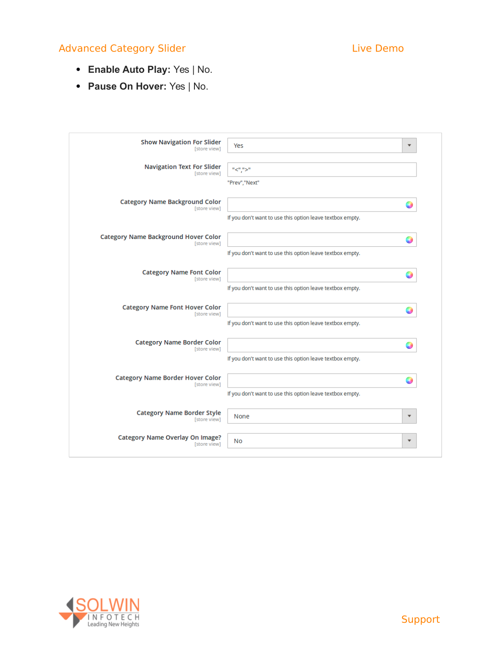# Advanced Category Slider [Live Demo](http://magedemo.solwininfotech.com/magento2/extension/marketing/sim2acs)nstructure Category Slider Live Demonstructure Demonstructure Demonstructure

- **Enable Auto Play:** Yes | No.
- **Pause On Hover:** Yes | No.

| <b>Show Navigation For Slider</b>                       | $\overline{\mathbf{v}}$                                   |
|---------------------------------------------------------|-----------------------------------------------------------|
| [store view]                                            | Yes                                                       |
| <b>Navigation Text For Slider</b>                       | "<",">"                                                   |
| [store view]                                            | "Prev","Next"                                             |
| <b>Category Name Background Color</b>                   | $\bigcirc$                                                |
| [store view]                                            | If you don't want to use this option leave textbox empty. |
| <b>Category Name Background Hover Color</b>             | O                                                         |
| [store view]                                            | If you don't want to use this option leave textbox empty. |
| <b>Category Name Font Color</b>                         | 0                                                         |
| [store view]                                            | If you don't want to use this option leave textbox empty. |
| <b>Category Name Font Hover Color</b>                   | 9                                                         |
| [store view]                                            | If you don't want to use this option leave textbox empty. |
| <b>Category Name Border Color</b><br>[store view]       | If you don't want to use this option leave textbox empty. |
| <b>Category Name Border Hover Color</b><br>[store view] | If you don't want to use this option leave textbox empty. |
| <b>Category Name Border Style</b>                       | None                                                      |
| [store view]                                            | $\overline{\mathbf{v}}$                                   |
| <b>Category Name Overlay On Image?</b>                  | No                                                        |
| [store view]                                            | $\overline{\mathbf{v}}$                                   |

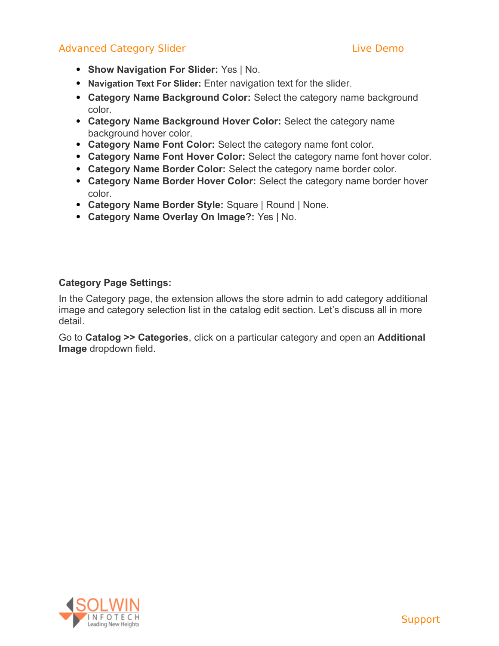# Advanced Category Slider [Live Demo](http://magedemo.solwininfotech.com/magento2/extension/marketing/sim2acs)nstructure Category Slider Live Demonstructure Demonstructure Demonstructure

- **Show Navigation For Slider:** Yes | No.
- **Navigation Text For Slider:** Enter navigation text for the slider.
- **Category Name Background Color:** Select the category name background color.
- **Category Name Background Hover Color:** Select the category name background hover color.
- **Category Name Font Color:** Select the category name font color.
- **Category Name Font Hover Color:** Select the category name font hover color.
- **Category Name Border Color:** Select the category name border color.
- **Category Name Border Hover Color:** Select the category name border hover color.
- **Category Name Border Style:** Square | Round | None.
- **Category Name Overlay On Image?:** Yes | No.

### **Category Page Settings:**

In the Category page, the extension allows the store admin to add category additional image and category selection list in the catalog edit section. Let's discuss all in more detail.

Go to **Catalog >> Categories**, click on a particular category and open an **Additional Image** dropdown field.

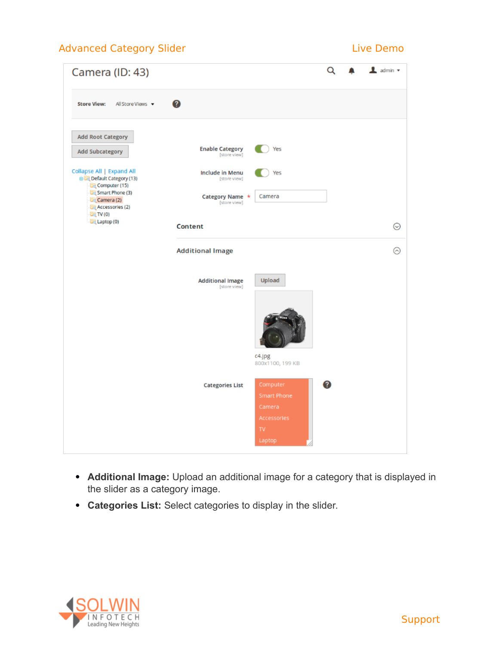# Advanced Category Slider [Live Demo](http://magedemo.solwininfotech.com/magento2/extension/marketing/sim2acs)nstructure Demonstructure Demonstructure Demonstructure Demonstructure Demo



- **Additional Image:** Upload an additional image for a category that is displayed in the slider as a category image.
- **Categories List:** Select categories to display in the slider.

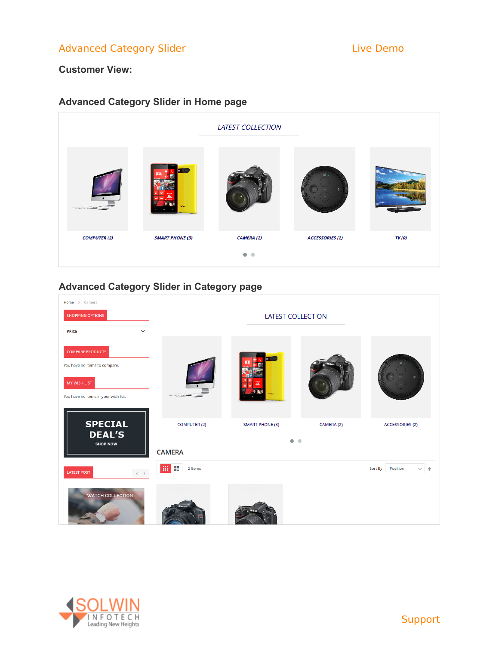### **Customer View:**

# **Advanced Category Slider in Home page**



# **Advanced Category Slider in Category page**

| Home > Camera                                               |                          |                        |                 |                                     |  |
|-------------------------------------------------------------|--------------------------|------------------------|-----------------|-------------------------------------|--|
| <b>SHOPPING OPTIONS</b>                                     | <b>LATEST COLLECTION</b> |                        |                 |                                     |  |
| <b>PRICE</b><br>$\checkmark$                                |                          |                        |                 |                                     |  |
| <b>COMPARE PRODUCTS</b><br>You have no items to compare.    |                          |                        |                 |                                     |  |
| <b>MY WISH LIST</b><br>You have no items in your wish list. |                          | nkvi                   |                 |                                     |  |
| <b>SPECIAL</b><br><b>DEAL'S</b><br><b>SHOP NOW</b>          | <b>COMPUTER (2)</b>      | <b>SMART PHONE (3)</b> | CAMERA (2)<br>۰ | <b>ACCESSORIES (2)</b>              |  |
|                                                             | <b>CAMERA</b>            |                        |                 |                                     |  |
| $\langle \cdot \rangle$ $>$<br><b>LATEST POST</b>           | 田田<br>2 Items            |                        |                 | Sort By<br>Position<br>$\checkmark$ |  |
| WATCH COLLECTION                                            |                          |                        |                 |                                     |  |